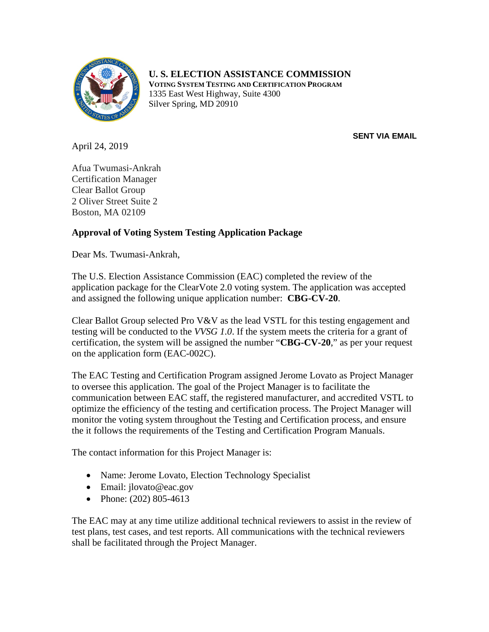

## **U. S. ELECTION ASSISTANCE COMMISSION**

**VOTING SYSTEM TESTING AND CERTIFICATION PROGRAM** 1335 East West Highway, Suite 4300 Silver Spring, MD 20910

**SENT VIA EMAIL**

April 24, 2019

Afua Twumasi-Ankrah Certification Manager Clear Ballot Group 2 Oliver Street Suite 2 Boston, MA 02109

## **Approval of Voting System Testing Application Package**

Dear Ms. Twumasi-Ankrah,

The U.S. Election Assistance Commission (EAC) completed the review of the application package for the ClearVote 2.0 voting system. The application was accepted and assigned the following unique application number: **CBG-CV-20**.

Clear Ballot Group selected Pro V&V as the lead VSTL for this testing engagement and testing will be conducted to the *VVSG 1.0*. If the system meets the criteria for a grant of certification, the system will be assigned the number "**CBG-CV-20**," as per your request on the application form (EAC-002C).

The EAC Testing and Certification Program assigned Jerome Lovato as Project Manager to oversee this application. The goal of the Project Manager is to facilitate the communication between EAC staff, the registered manufacturer, and accredited VSTL to optimize the efficiency of the testing and certification process. The Project Manager will monitor the voting system throughout the Testing and Certification process, and ensure the it follows the requirements of the Testing and Certification Program Manuals.

The contact information for this Project Manager is:

- Name: Jerome Lovato, Election Technology Specialist
- Email: jlovato@eac.gov
- Phone: (202) 805-4613

The EAC may at any time utilize additional technical reviewers to assist in the review of test plans, test cases, and test reports. All communications with the technical reviewers shall be facilitated through the Project Manager.